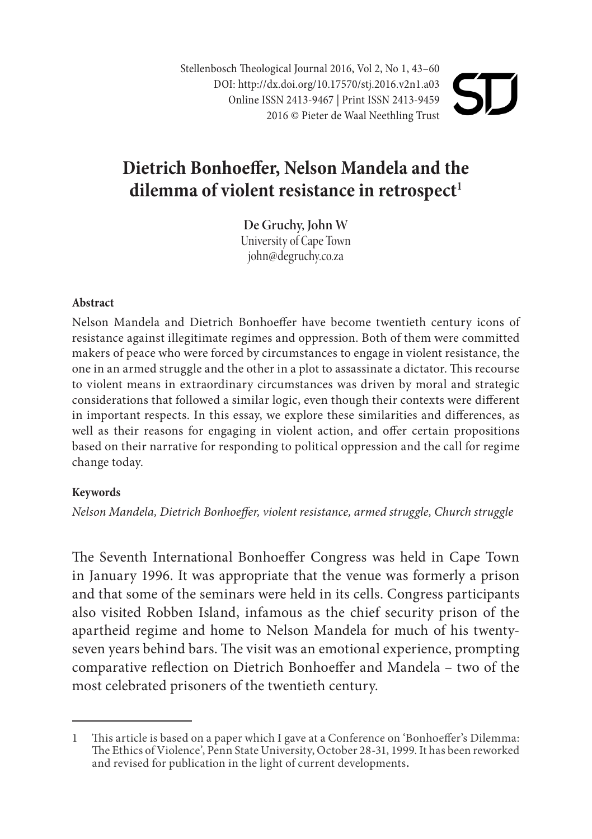Stellenbosch Theological Journal 2016, Vol 2, No 1, 43–60 DOI: http://dx.doi.org/10.17570/stj.2016.v2n1.a03 Online ISSN 2413-9467 | Print ISSN 2413-9459 2016 © Pieter de Waal Neethling Trust

# **Dietrich Bonhoeffer, Nelson Mandela and the**  dilemma of violent resistance in retrospect<sup>1</sup>

**De Gruchy, John W** University of Cape Town john@degruchy.co.za

#### **Abstract**

Nelson Mandela and Dietrich Bonhoeffer have become twentieth century icons of resistance against illegitimate regimes and oppression. Both of them were committed makers of peace who were forced by circumstances to engage in violent resistance, the one in an armed struggle and the other in a plot to assassinate a dictator. This recourse to violent means in extraordinary circumstances was driven by moral and strategic considerations that followed a similar logic, even though their contexts were different in important respects. In this essay, we explore these similarities and differences, as well as their reasons for engaging in violent action, and offer certain propositions based on their narrative for responding to political oppression and the call for regime change today.

#### **Keywords**

*Nelson Mandela, Dietrich Bonhoeffer, violent resistance, armed struggle, Church struggle* 

The Seventh International Bonhoeffer Congress was held in Cape Town in January 1996. It was appropriate that the venue was formerly a prison and that some of the seminars were held in its cells. Congress participants also visited Robben Island, infamous as the chief security prison of the apartheid regime and home to Nelson Mandela for much of his twentyseven years behind bars. The visit was an emotional experience, prompting comparative reflection on Dietrich Bonhoeffer and Mandela – two of the most celebrated prisoners of the twentieth century.

<sup>1</sup> This article is based on a paper which I gave at a Conference on 'Bonhoeffer's Dilemma: The Ethics of Violence', Penn State University, October 28-31, 1999. It has been reworked and revised for publication in the light of current developments.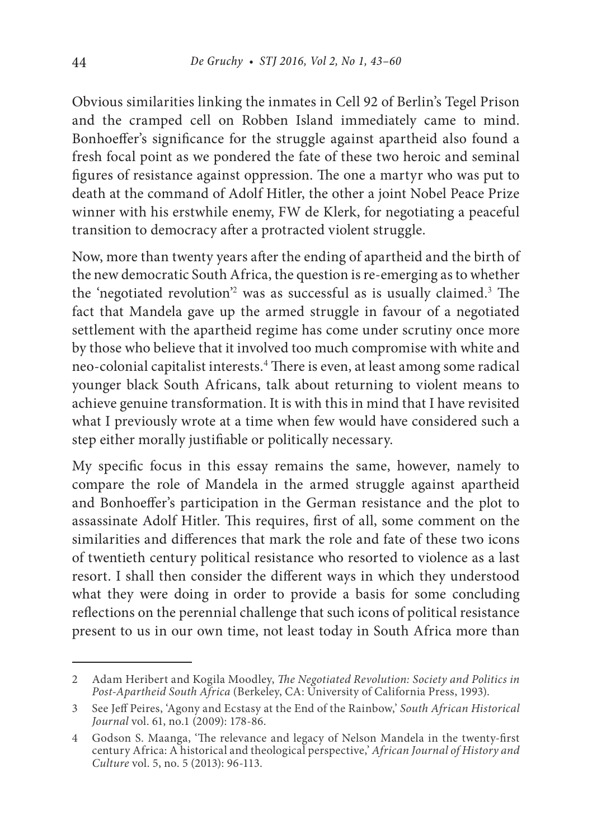Obvious similarities linking the inmates in Cell 92 of Berlin's Tegel Prison and the cramped cell on Robben Island immediately came to mind. Bonhoeffer's significance for the struggle against apartheid also found a fresh focal point as we pondered the fate of these two heroic and seminal figures of resistance against oppression. The one a martyr who was put to death at the command of Adolf Hitler, the other a joint Nobel Peace Prize winner with his erstwhile enemy, FW de Klerk, for negotiating a peaceful transition to democracy after a protracted violent struggle.

Now, more than twenty years after the ending of apartheid and the birth of the new democratic South Africa, the question is re-emerging as to whether the 'negotiated revolution'<sup>2</sup> was as successful as is usually claimed.<sup>3</sup> The fact that Mandela gave up the armed struggle in favour of a negotiated settlement with the apartheid regime has come under scrutiny once more by those who believe that it involved too much compromise with white and neo-colonial capitalist interests.<sup>4</sup> There is even, at least among some radical younger black South Africans, talk about returning to violent means to achieve genuine transformation. It is with this in mind that I have revisited what I previously wrote at a time when few would have considered such a step either morally justifiable or politically necessary.

My specific focus in this essay remains the same, however, namely to compare the role of Mandela in the armed struggle against apartheid and Bonhoeffer's participation in the German resistance and the plot to assassinate Adolf Hitler. This requires, first of all, some comment on the similarities and differences that mark the role and fate of these two icons of twentieth century political resistance who resorted to violence as a last resort. I shall then consider the different ways in which they understood what they were doing in order to provide a basis for some concluding reflections on the perennial challenge that such icons of political resistance present to us in our own time, not least today in South Africa more than

<sup>2</sup> Adam Heribert and Kogila Moodley, *The Negotiated Revolution: Society and Politics in Post-Apartheid South Africa* (Berkeley, CA: University of California Press, 1993).

<sup>3</sup> See Jeff Peires, 'Agony and Ecstasy at the End of the Rainbow,' *South African Historical Journal* vol. 61, no.1 (2009): 178-86.

<sup>4</sup> Godson S. Maanga, 'The relevance and legacy of Nelson Mandela in the twenty-first century Africa: A historical and theological perspective,' *African Journal of History and Culture* vol. 5, no. 5 (2013): 96-113.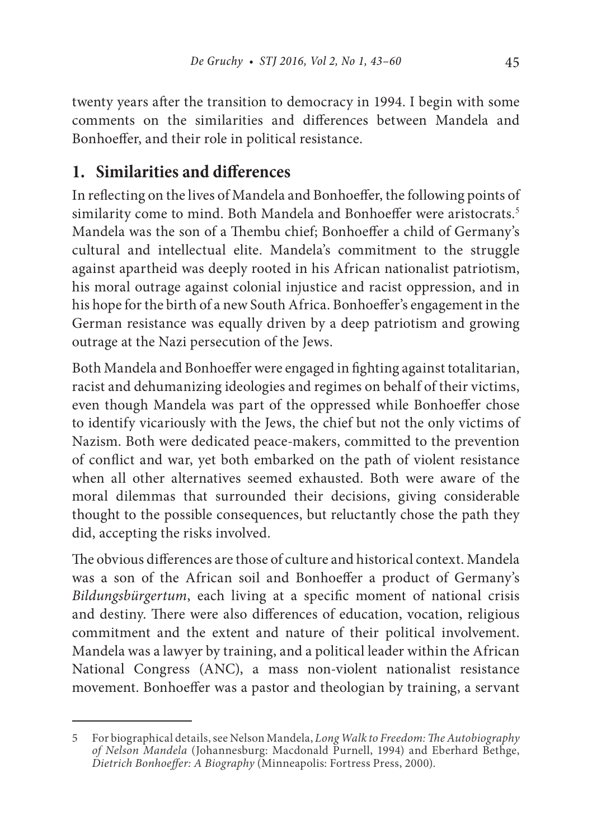twenty years after the transition to democracy in 1994. I begin with some comments on the similarities and differences between Mandela and Bonhoeffer, and their role in political resistance.

# **1. Similarities and differences**

In reflecting on the lives of Mandela and Bonhoeffer, the following points of similarity come to mind. Both Mandela and Bonhoeffer were aristocrats.<sup>5</sup> Mandela was the son of a Thembu chief; Bonhoeffer a child of Germany's cultural and intellectual elite. Mandela's commitment to the struggle against apartheid was deeply rooted in his African nationalist patriotism, his moral outrage against colonial injustice and racist oppression, and in his hope for the birth of a new South Africa. Bonhoeffer's engagement in the German resistance was equally driven by a deep patriotism and growing outrage at the Nazi persecution of the Jews.

Both Mandela and Bonhoeffer were engaged in fighting against totalitarian, racist and dehumanizing ideologies and regimes on behalf of their victims, even though Mandela was part of the oppressed while Bonhoeffer chose to identify vicariously with the Jews, the chief but not the only victims of Nazism. Both were dedicated peace-makers, committed to the prevention of conflict and war, yet both embarked on the path of violent resistance when all other alternatives seemed exhausted. Both were aware of the moral dilemmas that surrounded their decisions, giving considerable thought to the possible consequences, but reluctantly chose the path they did, accepting the risks involved.

The obvious differences are those of culture and historical context. Mandela was a son of the African soil and Bonhoeffer a product of Germany's *Bildungsbürgertum*, each living at a specific moment of national crisis and destiny. There were also differences of education, vocation, religious commitment and the extent and nature of their political involvement. Mandela was a lawyer by training, and a political leader within the African National Congress (ANC), a mass non-violent nationalist resistance movement. Bonhoeffer was a pastor and theologian by training, a servant

<sup>5</sup> For biographical details, see Nelson Mandela, *Long Walk to Freedom: The Autobiography of Nelson Mandela* (Johannesburg: Macdonald Purnell, 1994) and Eberhard Bethge, *Dietrich Bonhoeffer: A Biography* (Minneapolis: Fortress Press, 2000).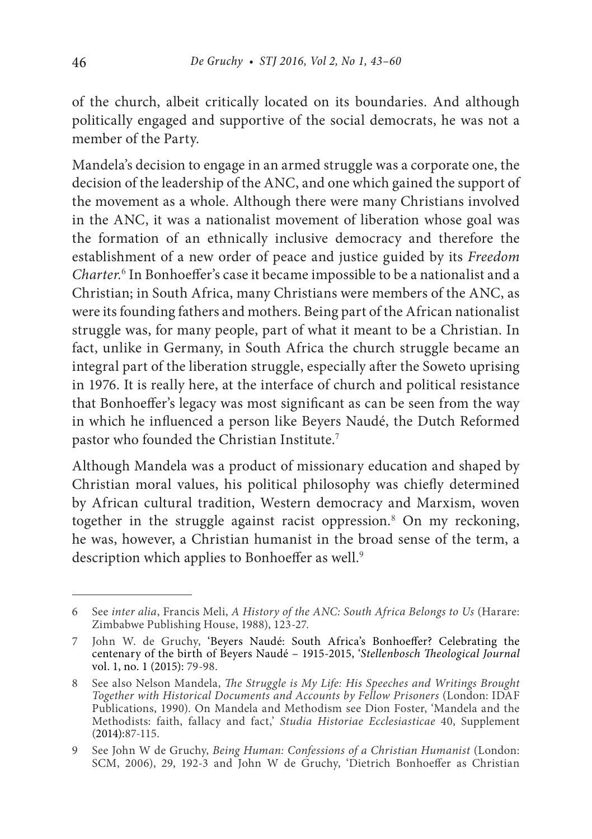of the church, albeit critically located on its boundaries. And although politically engaged and supportive of the social democrats, he was not a member of the Party.

Mandela's decision to engage in an armed struggle was a corporate one, the decision of the leadership of the ANC, and one which gained the support of the movement as a whole. Although there were many Christians involved in the ANC, it was a nationalist movement of liberation whose goal was the formation of an ethnically inclusive democracy and therefore the establishment of a new order of peace and justice guided by its *Freedom Charter*. 6 In Bonhoeffer's case it became impossible to be a nationalist and a Christian; in South Africa, many Christians were members of the ANC, as were its founding fathers and mothers. Being part of the African nationalist struggle was, for many people, part of what it meant to be a Christian. In fact, unlike in Germany, in South Africa the church struggle became an integral part of the liberation struggle, especially after the Soweto uprising in 1976. It is really here, at the interface of church and political resistance that Bonhoeffer's legacy was most significant as can be seen from the way in which he influenced a person like Beyers Naudé, the Dutch Reformed pastor who founded the Christian Institute.<sup>7</sup>

Although Mandela was a product of missionary education and shaped by Christian moral values, his political philosophy was chiefly determined by African cultural tradition, Western democracy and Marxism, woven together in the struggle against racist oppression.<sup>8</sup> On my reckoning, he was, however, a Christian humanist in the broad sense of the term, a description which applies to Bonhoeffer as well.<sup>9</sup>

<sup>6</sup> See *inter alia*, Francis Meli, *A History of the ANC: South Africa Belongs to Us* (Harare: Zimbabwe Publishing House, 1988), 123-27.

<sup>7</sup> John W. de Gruchy, 'Beyers Naudé: South Africa's Bonhoeffer? Celebrating the centenary of the birth of Beyers Naudé – 1915-2015, '*Stellenbosch Theological Journal* vol. 1, no. 1 (2015): 79-98.

<sup>8</sup> See also Nelson Mandela, *The Struggle is My Life: His Speeches and Writings Brought Together with Historical Documents and Accounts by Fellow Prisoners* (London: IDAF Publications, 1990). On Mandela and Methodism see Dion Foster, 'Mandela and the Methodists: faith, fallacy and fact,' *Studia Historiae Ecclesiasticae* 40, Supplement (2014):87-115.

<sup>9</sup> See John W de Gruchy, *Being Human: Confessions of a Christian Humanist* (London: SCM, 2006), 29, 192-3 and John W de Gruchy, 'Dietrich Bonhoeffer as Christian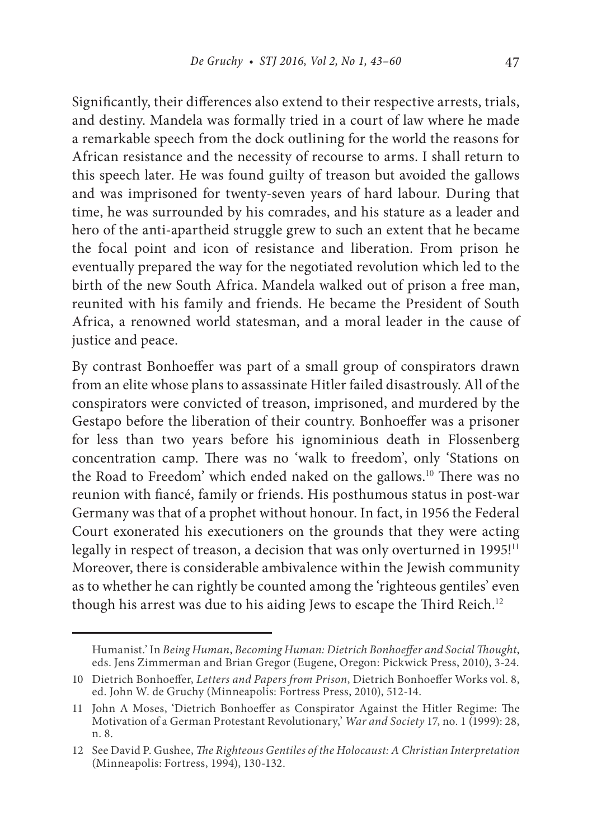Significantly, their differences also extend to their respective arrests, trials, and destiny. Mandela was formally tried in a court of law where he made a remarkable speech from the dock outlining for the world the reasons for African resistance and the necessity of recourse to arms. I shall return to this speech later. He was found guilty of treason but avoided the gallows and was imprisoned for twenty-seven years of hard labour. During that time, he was surrounded by his comrades, and his stature as a leader and hero of the anti-apartheid struggle grew to such an extent that he became the focal point and icon of resistance and liberation. From prison he eventually prepared the way for the negotiated revolution which led to the birth of the new South Africa. Mandela walked out of prison a free man, reunited with his family and friends. He became the President of South Africa, a renowned world statesman, and a moral leader in the cause of justice and peace.

By contrast Bonhoeffer was part of a small group of conspirators drawn from an elite whose plans to assassinate Hitler failed disastrously. All of the conspirators were convicted of treason, imprisoned, and murdered by the Gestapo before the liberation of their country. Bonhoeffer was a prisoner for less than two years before his ignominious death in Flossenberg concentration camp. There was no 'walk to freedom', only 'Stations on the Road to Freedom' which ended naked on the gallows.<sup>10</sup> There was no reunion with fiancé, family or friends. His posthumous status in post-war Germany was that of a prophet without honour. In fact, in 1956 the Federal Court exonerated his executioners on the grounds that they were acting legally in respect of treason, a decision that was only overturned in 1995!<sup>11</sup> Moreover, there is considerable ambivalence within the Jewish community as to whether he can rightly be counted among the 'righteous gentiles' even though his arrest was due to his aiding Jews to escape the Third Reich.<sup>12</sup>

Humanist.' In *Being Human*, *Becoming Human: Dietrich Bonhoeffer and Social Thought*, eds. Jens Zimmerman and Brian Gregor (Eugene, Oregon: Pickwick Press, 2010), 3-24.

<sup>10</sup> Dietrich Bonhoeffer, *Letters and Papers from Prison*, Dietrich Bonhoeffer Works vol. 8, ed. John W. de Gruchy (Minneapolis: Fortress Press, 2010), 512-14.

<sup>11</sup> John A Moses, 'Dietrich Bonhoeffer as Conspirator Against the Hitler Regime: The Motivation of a German Protestant Revolutionary,' *War and Society* 17, no. 1 (1999): 28, n. 8.

<sup>12</sup> See David P. Gushee, *The Righteous Gentiles of the Holocaust: A Christian Interpretation* (Minneapolis: Fortress, 1994), 130-132.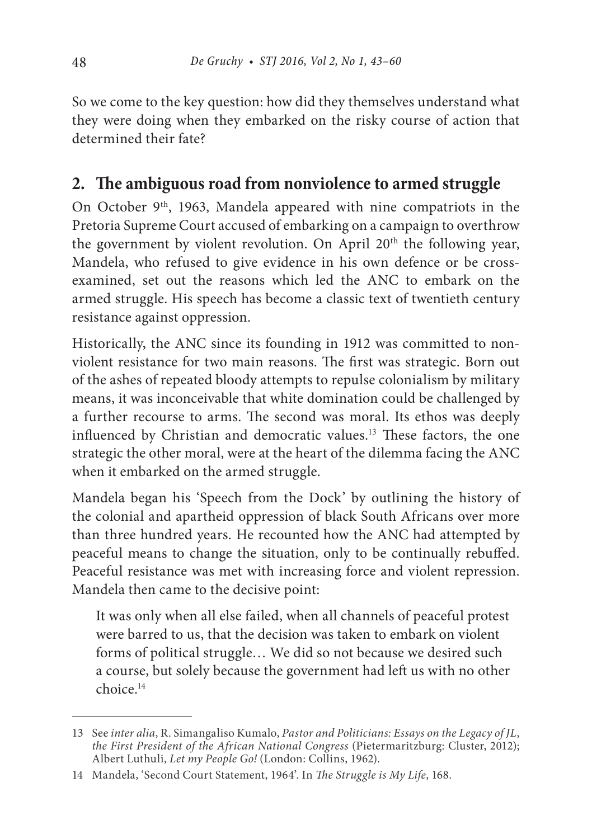So we come to the key question: how did they themselves understand what they were doing when they embarked on the risky course of action that determined their fate?

# **2. The ambiguous road from nonviolence to armed struggle**

On October 9<sup>th</sup>, 1963, Mandela appeared with nine compatriots in the Pretoria Supreme Court accused of embarking on a campaign to overthrow the government by violent revolution. On April 20<sup>th</sup> the following year, Mandela, who refused to give evidence in his own defence or be crossexamined, set out the reasons which led the ANC to embark on the armed struggle. His speech has become a classic text of twentieth century resistance against oppression.

Historically, the ANC since its founding in 1912 was committed to nonviolent resistance for two main reasons. The first was strategic. Born out of the ashes of repeated bloody attempts to repulse colonialism by military means, it was inconceivable that white domination could be challenged by a further recourse to arms. The second was moral. Its ethos was deeply influenced by Christian and democratic values.<sup>13</sup> These factors, the one strategic the other moral, were at the heart of the dilemma facing the ANC when it embarked on the armed struggle.

Mandela began his 'Speech from the Dock' by outlining the history of the colonial and apartheid oppression of black South Africans over more than three hundred years. He recounted how the ANC had attempted by peaceful means to change the situation, only to be continually rebuffed. Peaceful resistance was met with increasing force and violent repression. Mandela then came to the decisive point:

It was only when all else failed, when all channels of peaceful protest were barred to us, that the decision was taken to embark on violent forms of political struggle… We did so not because we desired such a course, but solely because the government had left us with no other choice.14

<sup>13</sup> See *inter alia*, R. Simangaliso Kumalo, *Pastor and Politicians: Essays on the Legacy of JL*, *the First President of the African National Congress* (Pietermaritzburg: Cluster, 2012); Albert Luthuli, *Let my People Go!* (London: Collins, 1962).

<sup>14</sup> Mandela, 'Second Court Statement, 1964'. In *The Struggle is My Life*, 168.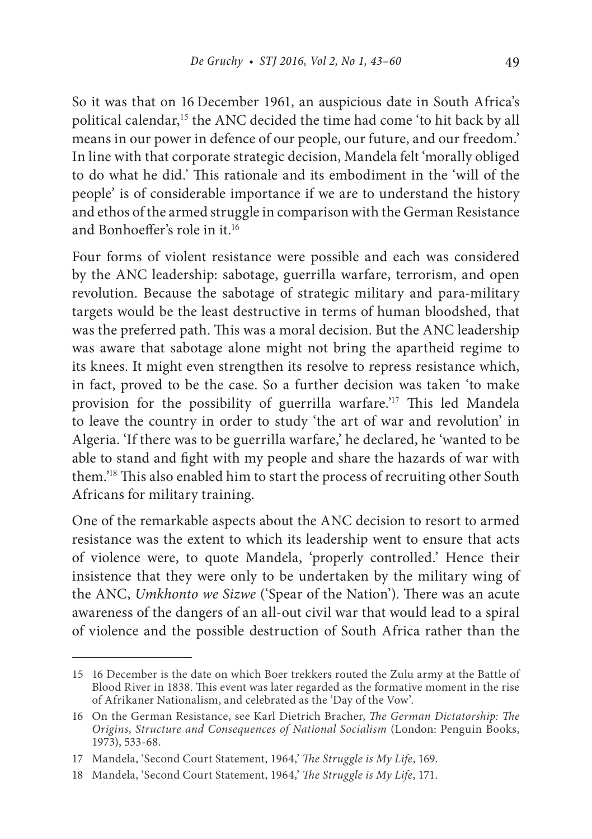So it was that on 16 December 1961, an auspicious date in South Africa's political calendar,<sup>15</sup> the ANC decided the time had come 'to hit back by all means in our power in defence of our people, our future, and our freedom.' In line with that corporate strategic decision, Mandela felt 'morally obliged to do what he did.' This rationale and its embodiment in the 'will of the people' is of considerable importance if we are to understand the history and ethos of the armed struggle in comparison with the German Resistance and Bonhoeffer's role in it.<sup>16</sup>

Four forms of violent resistance were possible and each was considered by the ANC leadership: sabotage, guerrilla warfare, terrorism, and open revolution. Because the sabotage of strategic military and para-military targets would be the least destructive in terms of human bloodshed, that was the preferred path. This was a moral decision. But the ANC leadership was aware that sabotage alone might not bring the apartheid regime to its knees. It might even strengthen its resolve to repress resistance which, in fact, proved to be the case. So a further decision was taken 'to make provision for the possibility of guerrilla warfare.'<sup>17</sup> This led Mandela to leave the country in order to study 'the art of war and revolution' in Algeria. 'If there was to be guerrilla warfare,' he declared, he 'wanted to be able to stand and fight with my people and share the hazards of war with them.'<sup>18</sup> This also enabled him to start the process of recruiting other South Africans for military training.

One of the remarkable aspects about the ANC decision to resort to armed resistance was the extent to which its leadership went to ensure that acts of violence were, to quote Mandela, 'properly controlled.' Hence their insistence that they were only to be undertaken by the military wing of the ANC, *Umkhonto we Sizwe* ('Spear of the Nation'). There was an acute awareness of the dangers of an all-out civil war that would lead to a spiral of violence and the possible destruction of South Africa rather than the

<sup>15</sup> 16 December is the date on which Boer trekkers routed the Zulu army at the Battle of Blood River in 1838. This event was later regarded as the formative moment in the rise of Afrikaner Nationalism, and celebrated as the 'Day of the Vow'.

<sup>16</sup> On the German Resistance, see Karl Dietrich Bracher, *The German Dictatorship: The Origins*, *Structure and Consequences of National Socialism* (London: Penguin Books, 1973), 533-68.

<sup>17</sup> Mandela, 'Second Court Statement, 1964,' *The Struggle is My Life*, 169.

<sup>18</sup> Mandela, 'Second Court Statement, 1964,' *The Struggle is My Life*, 171.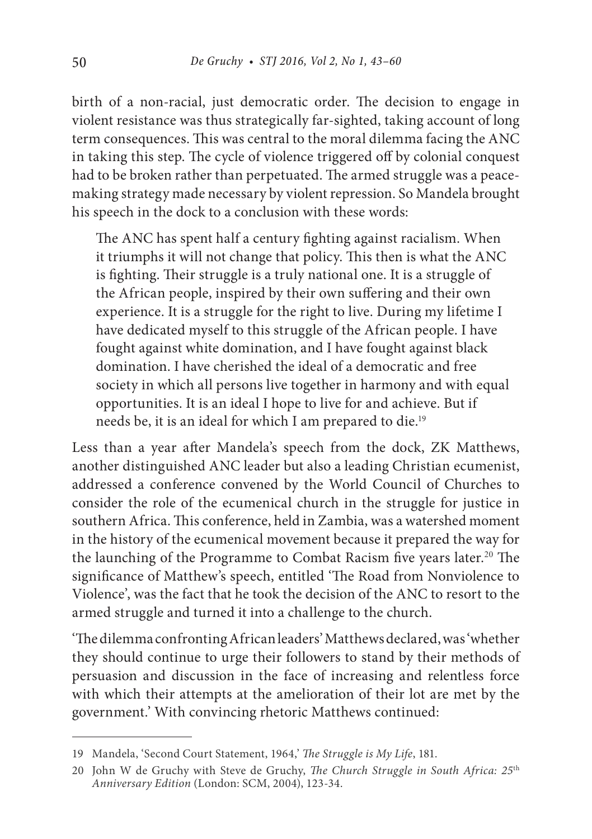birth of a non-racial, just democratic order. The decision to engage in violent resistance was thus strategically far-sighted, taking account of long term consequences. This was central to the moral dilemma facing the ANC in taking this step. The cycle of violence triggered off by colonial conquest had to be broken rather than perpetuated. The armed struggle was a peacemaking strategy made necessary by violent repression. So Mandela brought his speech in the dock to a conclusion with these words:

The ANC has spent half a century fighting against racialism. When it triumphs it will not change that policy. This then is what the ANC is fighting. Their struggle is a truly national one. It is a struggle of the African people, inspired by their own suffering and their own experience. It is a struggle for the right to live. During my lifetime I have dedicated myself to this struggle of the African people. I have fought against white domination, and I have fought against black domination. I have cherished the ideal of a democratic and free society in which all persons live together in harmony and with equal opportunities. It is an ideal I hope to live for and achieve. But if needs be, it is an ideal for which I am prepared to die.<sup>19</sup>

Less than a year after Mandela's speech from the dock, ZK Matthews, another distinguished ANC leader but also a leading Christian ecumenist, addressed a conference convened by the World Council of Churches to consider the role of the ecumenical church in the struggle for justice in southern Africa. This conference, held in Zambia, was a watershed moment in the history of the ecumenical movement because it prepared the way for the launching of the Programme to Combat Racism five years later.<sup>20</sup> The significance of Matthew's speech, entitled 'The Road from Nonviolence to Violence', was the fact that he took the decision of the ANC to resort to the armed struggle and turned it into a challenge to the church.

'The dilemma confronting African leaders' Matthews declared, was 'whether they should continue to urge their followers to stand by their methods of persuasion and discussion in the face of increasing and relentless force with which their attempts at the amelioration of their lot are met by the government.' With convincing rhetoric Matthews continued:

<sup>19</sup> Mandela, 'Second Court Statement, 1964,' *The Struggle is My Life*, 181.

<sup>20</sup> John W de Gruchy with Steve de Gruchy, *The Church Struggle in South Africa: 25*th *Anniversary Edition* (London: SCM, 2004), 123-34.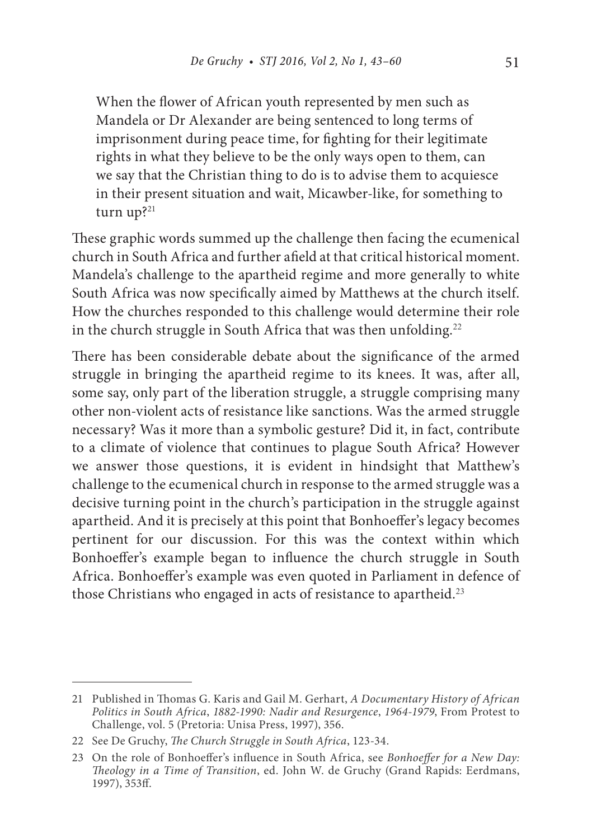When the flower of African youth represented by men such as Mandela or Dr Alexander are being sentenced to long terms of imprisonment during peace time, for fighting for their legitimate rights in what they believe to be the only ways open to them, can we say that the Christian thing to do is to advise them to acquiesce in their present situation and wait, Micawber-like, for something to turn up?<sup>21</sup>

These graphic words summed up the challenge then facing the ecumenical church in South Africa and further afield at that critical historical moment. Mandela's challenge to the apartheid regime and more generally to white South Africa was now specifically aimed by Matthews at the church itself. How the churches responded to this challenge would determine their role in the church struggle in South Africa that was then unfolding.<sup>22</sup>

There has been considerable debate about the significance of the armed struggle in bringing the apartheid regime to its knees. It was, after all, some say, only part of the liberation struggle, a struggle comprising many other non-violent acts of resistance like sanctions. Was the armed struggle necessary? Was it more than a symbolic gesture? Did it, in fact, contribute to a climate of violence that continues to plague South Africa? However we answer those questions, it is evident in hindsight that Matthew's challenge to the ecumenical church in response to the armed struggle was a decisive turning point in the church's participation in the struggle against apartheid. And it is precisely at this point that Bonhoeffer's legacy becomes pertinent for our discussion. For this was the context within which Bonhoeffer's example began to influence the church struggle in South Africa. Bonhoeffer's example was even quoted in Parliament in defence of those Christians who engaged in acts of resistance to apartheid.<sup>23</sup>

<sup>21</sup> Published in Thomas G. Karis and Gail M. Gerhart, *A Documentary History of African Politics in South Africa*, *1882-1990: Nadir and Resurgence*, *1964-1979*, From Protest to Challenge, vol. 5 (Pretoria: Unisa Press, 1997), 356.

<sup>22</sup> See De Gruchy, *The Church Struggle in South Africa*, 123-34.

<sup>23</sup> On the role of Bonhoeffer's influence in South Africa, see *Bonhoeffer for a New Day: Theology in a Time of Transition*, ed. John W. de Gruchy (Grand Rapids: Eerdmans, 1997), 353ff.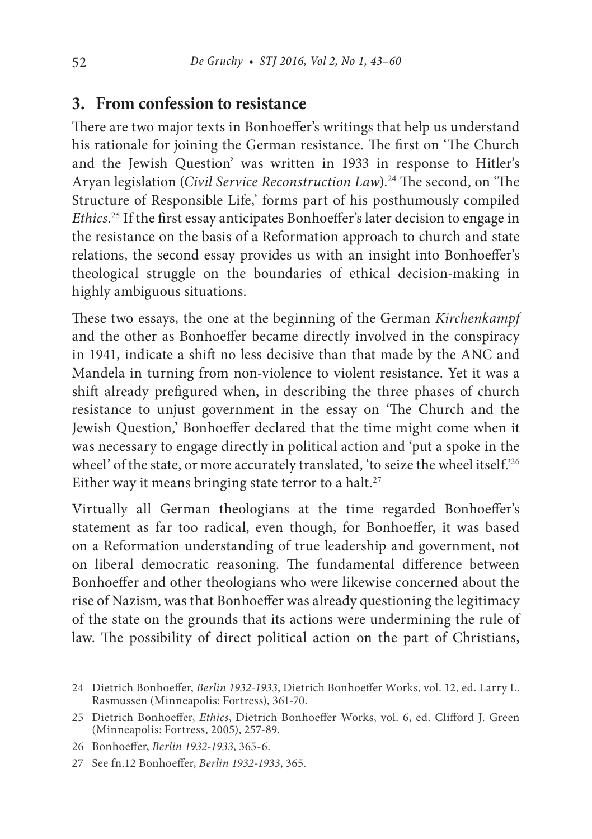## **3. From confession to resistance**

There are two major texts in Bonhoeffer's writings that help us understand his rationale for joining the German resistance. The first on 'The Church and the Jewish Question' was written in 1933 in response to Hitler's Aryan legislation (*Civil Service Reconstruction Law*).<sup>24</sup> The second, on 'The Structure of Responsible Life,' forms part of his posthumously compiled *Ethics*. <sup>25</sup> If the first essay anticipates Bonhoeffer's later decision to engage in the resistance on the basis of a Reformation approach to church and state relations, the second essay provides us with an insight into Bonhoeffer's theological struggle on the boundaries of ethical decision-making in highly ambiguous situations.

These two essays, the one at the beginning of the German *Kirchenkampf* and the other as Bonhoeffer became directly involved in the conspiracy in 1941, indicate a shift no less decisive than that made by the ANC and Mandela in turning from non-violence to violent resistance. Yet it was a shift already prefigured when, in describing the three phases of church resistance to unjust government in the essay on 'The Church and the Jewish Question,' Bonhoeffer declared that the time might come when it was necessary to engage directly in political action and 'put a spoke in the wheel' of the state, or more accurately translated, 'to seize the wheel itself.'26 Either way it means bringing state terror to a halt.<sup>27</sup>

Virtually all German theologians at the time regarded Bonhoeffer's statement as far too radical, even though, for Bonhoeffer, it was based on a Reformation understanding of true leadership and government, not on liberal democratic reasoning. The fundamental difference between Bonhoeffer and other theologians who were likewise concerned about the rise of Nazism, was that Bonhoeffer was already questioning the legitimacy of the state on the grounds that its actions were undermining the rule of law. The possibility of direct political action on the part of Christians,

<sup>24</sup> Dietrich Bonhoeffer, *Berlin 1932-1933*, Dietrich Bonhoeffer Works, vol. 12, ed. Larry L. Rasmussen (Minneapolis: Fortress), 361-70.

<sup>25</sup> Dietrich Bonhoeffer, *Ethics*, Dietrich Bonhoeffer Works, vol. 6, ed. Clifford J. Green (Minneapolis: Fortress, 2005), 257-89.

<sup>26</sup> Bonhoeffer, *Berlin 1932-1933*, 365-6.

<sup>27</sup> See fn.12 Bonhoeffer, *Berlin 1932-1933*, 365.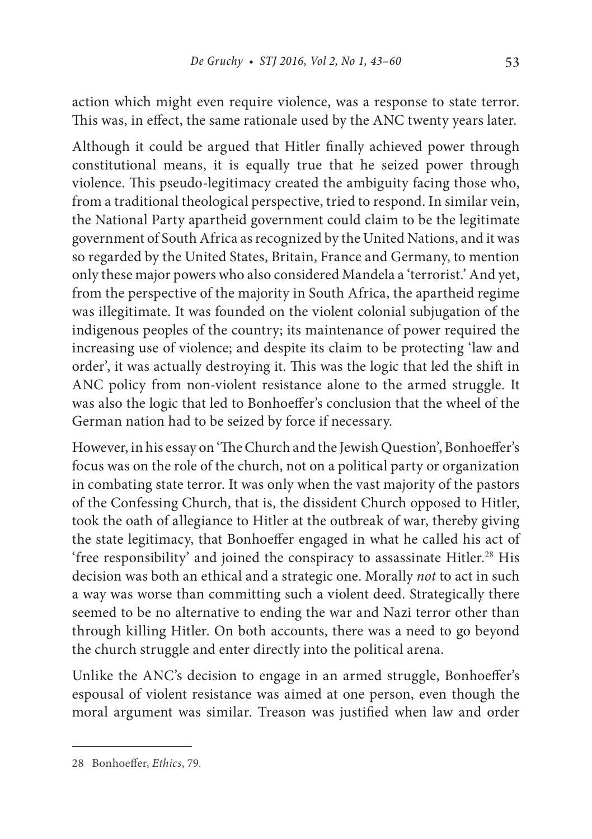action which might even require violence, was a response to state terror. This was, in effect, the same rationale used by the ANC twenty years later.

Although it could be argued that Hitler finally achieved power through constitutional means, it is equally true that he seized power through violence. This pseudo-legitimacy created the ambiguity facing those who, from a traditional theological perspective, tried to respond. In similar vein, the National Party apartheid government could claim to be the legitimate government of South Africa as recognized by the United Nations, and it was so regarded by the United States, Britain, France and Germany, to mention only these major powers who also considered Mandela a 'terrorist.' And yet, from the perspective of the majority in South Africa, the apartheid regime was illegitimate. It was founded on the violent colonial subjugation of the indigenous peoples of the country; its maintenance of power required the increasing use of violence; and despite its claim to be protecting 'law and order', it was actually destroying it. This was the logic that led the shift in ANC policy from non-violent resistance alone to the armed struggle. It was also the logic that led to Bonhoeffer's conclusion that the wheel of the German nation had to be seized by force if necessary.

However, in his essay on 'The Church and the Jewish Question', Bonhoeffer's focus was on the role of the church, not on a political party or organization in combating state terror. It was only when the vast majority of the pastors of the Confessing Church, that is, the dissident Church opposed to Hitler, took the oath of allegiance to Hitler at the outbreak of war, thereby giving the state legitimacy, that Bonhoeffer engaged in what he called his act of 'free responsibility' and joined the conspiracy to assassinate Hitler.<sup>28</sup> His decision was both an ethical and a strategic one. Morally *not* to act in such a way was worse than committing such a violent deed. Strategically there seemed to be no alternative to ending the war and Nazi terror other than through killing Hitler. On both accounts, there was a need to go beyond the church struggle and enter directly into the political arena.

Unlike the ANC's decision to engage in an armed struggle, Bonhoeffer's espousal of violent resistance was aimed at one person, even though the moral argument was similar. Treason was justified when law and order

<sup>28</sup> Bonhoeffer, *Ethics*, 79.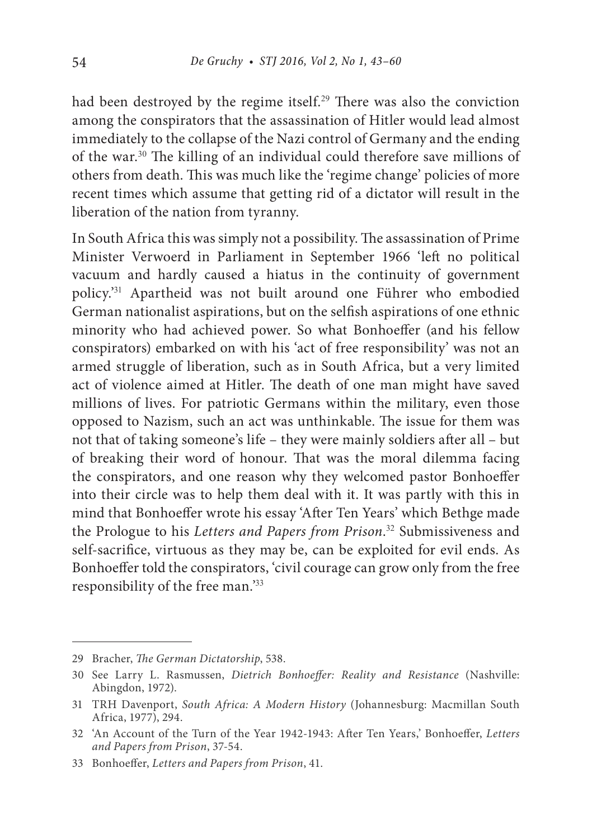had been destroyed by the regime itself.<sup>29</sup> There was also the conviction among the conspirators that the assassination of Hitler would lead almost immediately to the collapse of the Nazi control of Germany and the ending of the war.<sup>30</sup> The killing of an individual could therefore save millions of others from death. This was much like the 'regime change' policies of more recent times which assume that getting rid of a dictator will result in the liberation of the nation from tyranny.

In South Africa this was simply not a possibility. The assassination of Prime Minister Verwoerd in Parliament in September 1966 'left no political vacuum and hardly caused a hiatus in the continuity of government policy.'<sup>31</sup> Apartheid was not built around one Führer who embodied German nationalist aspirations, but on the selfish aspirations of one ethnic minority who had achieved power. So what Bonhoeffer (and his fellow conspirators) embarked on with his 'act of free responsibility' was not an armed struggle of liberation, such as in South Africa, but a very limited act of violence aimed at Hitler. The death of one man might have saved millions of lives. For patriotic Germans within the military, even those opposed to Nazism, such an act was unthinkable. The issue for them was not that of taking someone's life – they were mainly soldiers after all – but of breaking their word of honour. That was the moral dilemma facing the conspirators, and one reason why they welcomed pastor Bonhoeffer into their circle was to help them deal with it. It was partly with this in mind that Bonhoeffer wrote his essay 'After Ten Years' which Bethge made the Prologue to his *Letters and Papers from Prison*. <sup>32</sup> Submissiveness and self-sacrifice, virtuous as they may be, can be exploited for evil ends. As Bonhoeffer told the conspirators, 'civil courage can grow only from the free responsibility of the free man.'<sup>33</sup>

<sup>29</sup> Bracher, *The German Dictatorship*, 538.

<sup>30</sup> See Larry L. Rasmussen, *Dietrich Bonhoeffer: Reality and Resistance* (Nashville: Abingdon, 1972).

<sup>31</sup> TRH Davenport, *South Africa: A Modern History* (Johannesburg: Macmillan South Africa, 1977), 294.

<sup>32</sup> 'An Account of the Turn of the Year 1942-1943: After Ten Years,' Bonhoeffer, *Letters and Papers from Prison*, 37-54.

<sup>33</sup> Bonhoeffer, *Letters and Papers from Prison*, 41.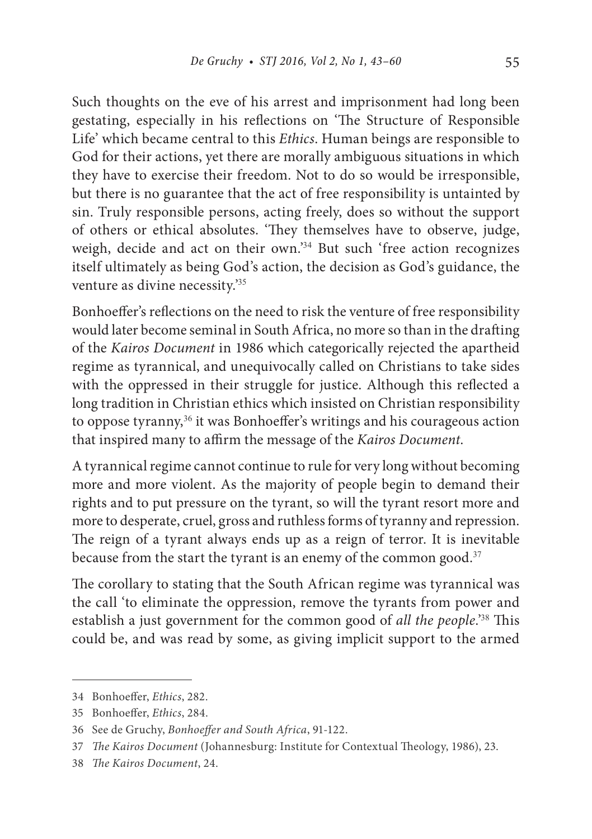Such thoughts on the eve of his arrest and imprisonment had long been gestating, especially in his reflections on 'The Structure of Responsible Life' which became central to this *Ethics*. Human beings are responsible to God for their actions, yet there are morally ambiguous situations in which they have to exercise their freedom. Not to do so would be irresponsible, but there is no guarantee that the act of free responsibility is untainted by sin. Truly responsible persons, acting freely, does so without the support of others or ethical absolutes. 'They themselves have to observe, judge, weigh, decide and act on their own.'<sup>34</sup> But such 'free action recognizes itself ultimately as being God's action, the decision as God's guidance, the venture as divine necessity.'<sup>35</sup>

Bonhoeffer's reflections on the need to risk the venture of free responsibility would later become seminal in South Africa, no more so than in the drafting of the *Kairos Document* in 1986 which categorically rejected the apartheid regime as tyrannical, and unequivocally called on Christians to take sides with the oppressed in their struggle for justice. Although this reflected a long tradition in Christian ethics which insisted on Christian responsibility to oppose tyranny,<sup>36</sup> it was Bonhoeffer's writings and his courageous action that inspired many to affirm the message of the *Kairos Document*.

A tyrannical regime cannot continue to rule for very long without becoming more and more violent. As the majority of people begin to demand their rights and to put pressure on the tyrant, so will the tyrant resort more and more to desperate, cruel, gross and ruthless forms of tyranny and repression. The reign of a tyrant always ends up as a reign of terror. It is inevitable because from the start the tyrant is an enemy of the common good.<sup>37</sup>

The corollary to stating that the South African regime was tyrannical was the call 'to eliminate the oppression, remove the tyrants from power and establish a just government for the common good of *all the people*.'<sup>38</sup> This could be, and was read by some, as giving implicit support to the armed

<sup>34</sup> Bonhoeffer, *Ethics*, 282.

<sup>35</sup> Bonhoeffer, *Ethics*, 284.

<sup>36</sup> See de Gruchy, *Bonhoeffer and South Africa*, 91-122.

<sup>37</sup> *The Kairos Document* (Johannesburg: Institute for Contextual Theology, 1986), 23.

<sup>38</sup> *The Kairos Document*, 24.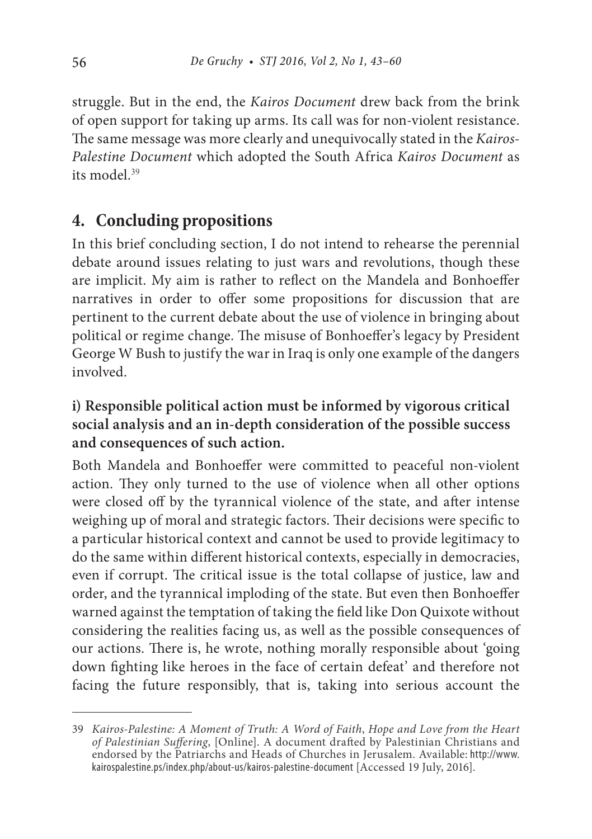struggle. But in the end, the *Kairos Document* drew back from the brink of open support for taking up arms. Its call was for non-violent resistance. The same message was more clearly and unequivocally stated in the *Kairos-Palestine Document* which adopted the South Africa *Kairos Document* as its model.<sup>39</sup>

### **4. Concluding propositions**

In this brief concluding section, I do not intend to rehearse the perennial debate around issues relating to just wars and revolutions, though these are implicit. My aim is rather to reflect on the Mandela and Bonhoeffer narratives in order to offer some propositions for discussion that are pertinent to the current debate about the use of violence in bringing about political or regime change. The misuse of Bonhoeffer's legacy by President George W Bush to justify the war in Iraq is only one example of the dangers involved.

### **i) Responsible political action must be informed by vigorous critical social analysis and an in-depth consideration of the possible success and consequences of such action.**

Both Mandela and Bonhoeffer were committed to peaceful non-violent action. They only turned to the use of violence when all other options were closed off by the tyrannical violence of the state, and after intense weighing up of moral and strategic factors. Their decisions were specific to a particular historical context and cannot be used to provide legitimacy to do the same within different historical contexts, especially in democracies, even if corrupt. The critical issue is the total collapse of justice, law and order, and the tyrannical imploding of the state. But even then Bonhoeffer warned against the temptation of taking the field like Don Quixote without considering the realities facing us, as well as the possible consequences of our actions. There is, he wrote, nothing morally responsible about 'going down fighting like heroes in the face of certain defeat' and therefore not facing the future responsibly, that is, taking into serious account the

<sup>39</sup> *Kairos-Palestine: A Moment of Truth: A Word of Faith*, *Hope and Love from the Heart of Palestinian Suffering*, [Online]. A document drafted by Palestinian Christians and endorsed by the Patriarchs and Heads of Churches in Jerusalem. Available: http://www. kairospalestine.ps/index.php/about-us/kairos-palestine-document [Accessed 19 July, 2016].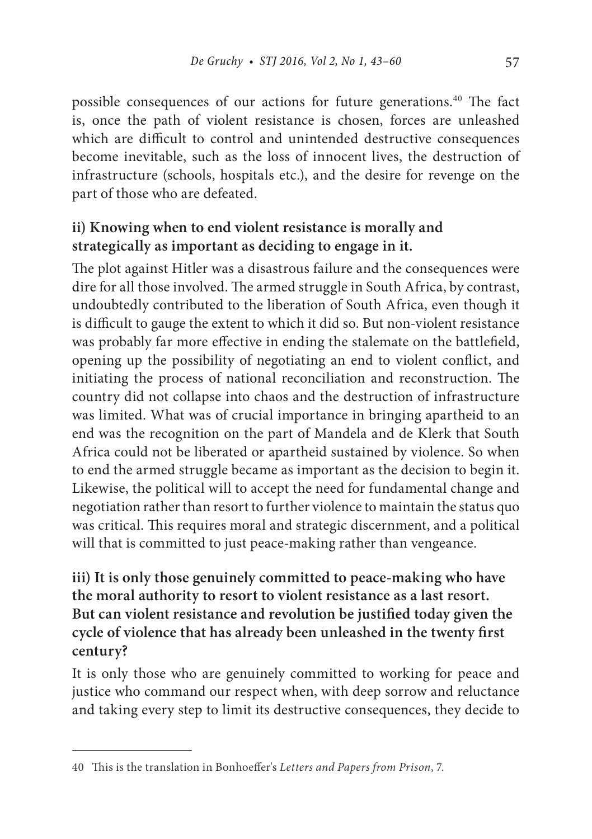possible consequences of our actions for future generations.<sup>40</sup> The fact is, once the path of violent resistance is chosen, forces are unleashed which are difficult to control and unintended destructive consequences become inevitable, such as the loss of innocent lives, the destruction of infrastructure (schools, hospitals etc.), and the desire for revenge on the part of those who are defeated.

### **ii) Knowing when to end violent resistance is morally and strategically as important as deciding to engage in it.**

The plot against Hitler was a disastrous failure and the consequences were dire for all those involved. The armed struggle in South Africa, by contrast, undoubtedly contributed to the liberation of South Africa, even though it is difficult to gauge the extent to which it did so. But non-violent resistance was probably far more effective in ending the stalemate on the battlefield, opening up the possibility of negotiating an end to violent conflict, and initiating the process of national reconciliation and reconstruction. The country did not collapse into chaos and the destruction of infrastructure was limited. What was of crucial importance in bringing apartheid to an end was the recognition on the part of Mandela and de Klerk that South Africa could not be liberated or apartheid sustained by violence. So when to end the armed struggle became as important as the decision to begin it. Likewise, the political will to accept the need for fundamental change and negotiation rather than resort to further violence to maintain the status quo was critical. This requires moral and strategic discernment, and a political will that is committed to just peace-making rather than vengeance.

**iii) It is only those genuinely committed to peace-making who have the moral authority to resort to violent resistance as a last resort. But can violent resistance and revolution be justified today given the cycle of violence that has already been unleashed in the twenty first century?**

It is only those who are genuinely committed to working for peace and justice who command our respect when, with deep sorrow and reluctance and taking every step to limit its destructive consequences, they decide to

<sup>40</sup> This is the translation in Bonhoeffer's *Letters and Papers from Prison*, 7.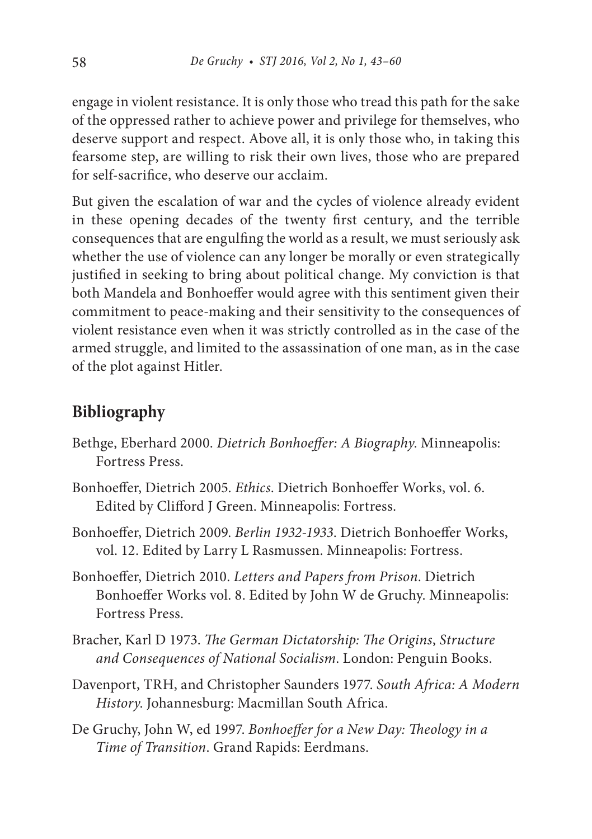engage in violent resistance. It is only those who tread this path for the sake of the oppressed rather to achieve power and privilege for themselves, who deserve support and respect. Above all, it is only those who, in taking this fearsome step, are willing to risk their own lives, those who are prepared for self-sacrifice, who deserve our acclaim.

But given the escalation of war and the cycles of violence already evident in these opening decades of the twenty first century, and the terrible consequences that are engulfing the world as a result, we must seriously ask whether the use of violence can any longer be morally or even strategically justified in seeking to bring about political change. My conviction is that both Mandela and Bonhoeffer would agree with this sentiment given their commitment to peace-making and their sensitivity to the consequences of violent resistance even when it was strictly controlled as in the case of the armed struggle, and limited to the assassination of one man, as in the case of the plot against Hitler.

#### **Bibliography**

- Bethge, Eberhard 2000. *Dietrich Bonhoeffer: A Biography*. Minneapolis: Fortress Press.
- Bonhoeffer, Dietrich 2005. *Ethics*. Dietrich Bonhoeffer Works, vol. 6. Edited by Clifford J Green. Minneapolis: Fortress.
- Bonhoeffer, Dietrich 2009. *Berlin 1932-1933*. Dietrich Bonhoeffer Works, vol. 12. Edited by Larry L Rasmussen. Minneapolis: Fortress.
- Bonhoeffer, Dietrich 2010. *Letters and Papers from Prison*. Dietrich Bonhoeffer Works vol. 8. Edited by John W de Gruchy. Minneapolis: Fortress Press.
- Bracher, Karl D 1973. *The German Dictatorship: The Origins*, *Structure and Consequences of National Socialism*. London: Penguin Books.
- Davenport, TRH, and Christopher Saunders 1977. *South Africa: A Modern History*. Johannesburg: Macmillan South Africa.
- De Gruchy, John W, ed 1997. *Bonhoeffer for a New Day: Theology in a Time of Transition*. Grand Rapids: Eerdmans.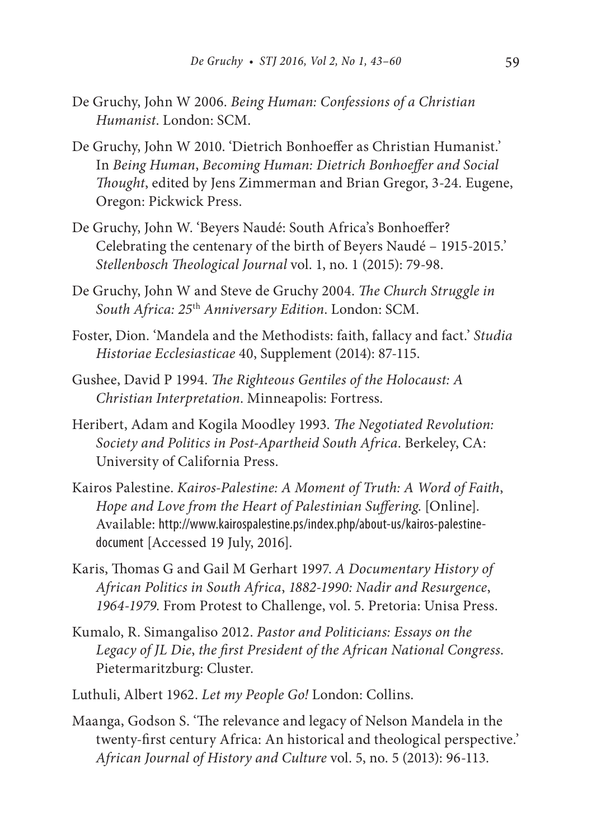- De Gruchy, John W 2006. *Being Human: Confessions of a Christian Humanist*. London: SCM.
- De Gruchy, John W 2010. 'Dietrich Bonhoeffer as Christian Humanist.' In *Being Human*, *Becoming Human: Dietrich Bonhoeffer and Social Thought*, edited by Jens Zimmerman and Brian Gregor, 3-24. Eugene, Oregon: Pickwick Press.
- De Gruchy, John W. 'Beyers Naudé: South Africa's Bonhoeffer? Celebrating the centenary of the birth of Beyers Naudé – 1915-2015.' *Stellenbosch Theological Journal* vol. 1, no. 1 (2015): 79-98.
- De Gruchy, John W and Steve de Gruchy 2004. *The Church Struggle in South Africa: 25*th *Anniversary Edition*. London: SCM.
- Foster, Dion. 'Mandela and the Methodists: faith, fallacy and fact.' *Studia Historiae Ecclesiasticae* 40, Supplement (2014): 87-115.
- Gushee, David P 1994. *The Righteous Gentiles of the Holocaust: A Christian Interpretation*. Minneapolis: Fortress.
- Heribert, Adam and Kogila Moodley 1993. *The Negotiated Revolution: Society and Politics in Post-Apartheid South Africa*. Berkeley, CA: University of California Press.
- Kairos Palestine. *Kairos-Palestine: A Moment of Truth: A Word of Faith*, *Hope and Love from the Heart of Palestinian Suffering*. [Online]. Available: http://www.kairospalestine.ps/index.php/about-us/kairos-palestinedocument [Accessed 19 July, 2016].
- Karis, Thomas G and Gail M Gerhart 1997. *A Documentary History of African Politics in South Africa*, *1882-1990: Nadir and Resurgence*, *1964-1979*. From Protest to Challenge, vol. 5. Pretoria: Unisa Press.
- Kumalo, R. Simangaliso 2012. *Pastor and Politicians: Essays on the Legacy of JL Die*, *the first President of the African National Congress*. Pietermaritzburg: Cluster.
- Luthuli, Albert 1962. *Let my People Go!* London: Collins.
- Maanga, Godson S. 'The relevance and legacy of Nelson Mandela in the twenty-first century Africa: An historical and theological perspective.' *African Journal of History and Culture* vol. 5, no. 5 (2013): 96-113.